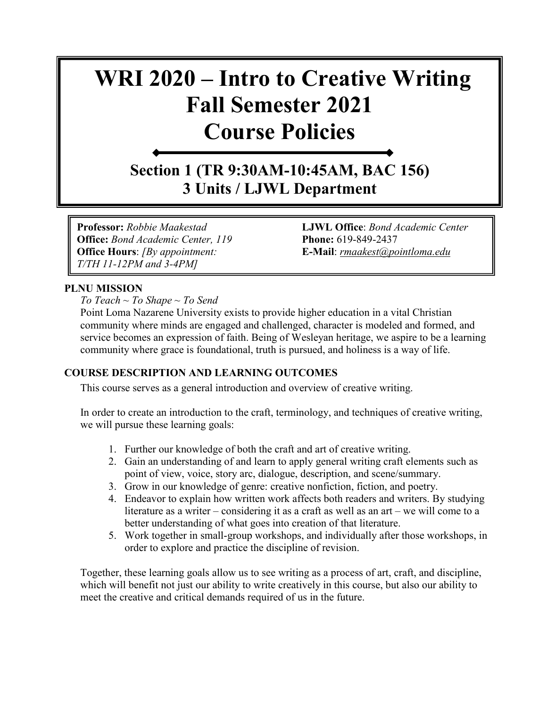# **WRI 2020 – Intro to Creative Writing Fall Semester 2021 Course Policies**

**Section 1 (TR 9:30AM-10:45AM, BAC 156) 3 Units / LJWL Department**

**Professor:** *Robbie Maakestad* **LJWL Office**: *Bond Academic Center*  **Office:** *Bond Academic Center, 119* **Phone:** 619-849-2437 **Office Hours**: *[By appointment:* **E-Mail**: *[rmaakest@pointloma.edu](mailto:rmaakest@pointloma.edu) T/TH 11-12PM and 3-4PM]*

# **PLNU MISSION**

*To Teach ~ To Shape ~ To Send* 

Point Loma Nazarene University exists to provide higher education in a vital Christian community where minds are engaged and challenged, character is modeled and formed, and service becomes an expression of faith. Being of Wesleyan heritage, we aspire to be a learning community where grace is foundational, truth is pursued, and holiness is a way of life.

# **COURSE DESCRIPTION AND LEARNING OUTCOMES**

This course serves as a general introduction and overview of creative writing.

In order to create an introduction to the craft, terminology, and techniques of creative writing, we will pursue these learning goals:

- 1. Further our knowledge of both the craft and art of creative writing.
- 2. Gain an understanding of and learn to apply general writing craft elements such as point of view, voice, story arc, dialogue, description, and scene/summary.
- 3. Grow in our knowledge of genre: creative nonfiction, fiction, and poetry.
- 4. Endeavor to explain how written work affects both readers and writers. By studying literature as a writer – considering it as a craft as well as an art – we will come to a better understanding of what goes into creation of that literature.
- 5. Work together in small-group workshops, and individually after those workshops, in order to explore and practice the discipline of revision.

Together, these learning goals allow us to see writing as a process of art, craft, and discipline, which will benefit not just our ability to write creatively in this course, but also our ability to meet the creative and critical demands required of us in the future.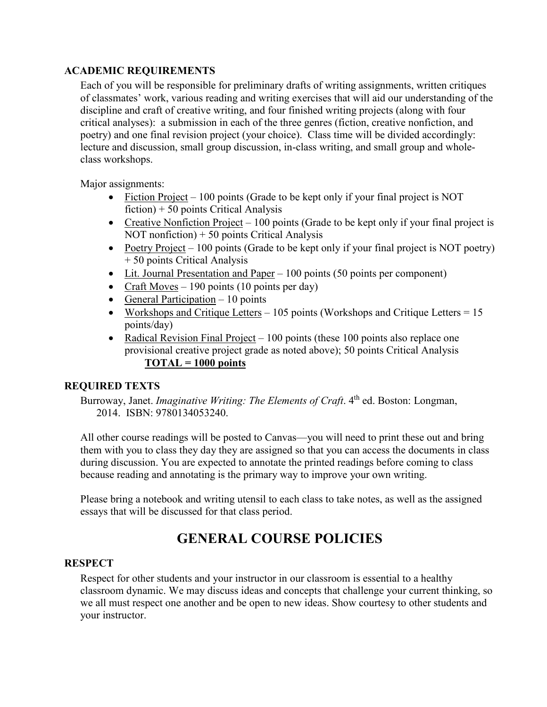# **ACADEMIC REQUIREMENTS**

Each of you will be responsible for preliminary drafts of writing assignments, written critiques of classmates' work, various reading and writing exercises that will aid our understanding of the discipline and craft of creative writing, and four finished writing projects (along with four critical analyses): a submission in each of the three genres (fiction, creative nonfiction, and poetry) and one final revision project (your choice). Class time will be divided accordingly: lecture and discussion, small group discussion, in-class writing, and small group and wholeclass workshops.

Major assignments:

- Fiction Project 100 points (Grade to be kept only if your final project is NOT fiction) + 50 points Critical Analysis
- Creative Nonfiction Project 100 points (Grade to be kept only if your final project is NOT nonfiction) + 50 points Critical Analysis
- Poetry Project 100 points (Grade to be kept only if your final project is NOT poetry) + 50 points Critical Analysis
- Lit. Journal Presentation and Paper 100 points (50 points per component)
- Craft Moves 190 points (10 points per day)
- General Participation  $-10$  points
- Workshops and Critique Letters 105 points (Workshops and Critique Letters =  $15$ ) points/day)
- Radical Revision Final Project  $-100$  points (these 100 points also replace one provisional creative project grade as noted above); 50 points Critical Analysis **TOTAL = 1000 points**

# **REQUIRED TEXTS**

Burroway, Janet. *Imaginative Writing: The Elements of Craft*. 4<sup>th</sup> ed. Boston: Longman, 2014. ISBN: 9780134053240.

All other course readings will be posted to Canvas—you will need to print these out and bring them with you to class they day they are assigned so that you can access the documents in class during discussion. You are expected to annotate the printed readings before coming to class because reading and annotating is the primary way to improve your own writing.

Please bring a notebook and writing utensil to each class to take notes, as well as the assigned essays that will be discussed for that class period.

# **GENERAL COURSE POLICIES**

# **RESPECT**

Respect for other students and your instructor in our classroom is essential to a healthy classroom dynamic. We may discuss ideas and concepts that challenge your current thinking, so we all must respect one another and be open to new ideas. Show courtesy to other students and your instructor.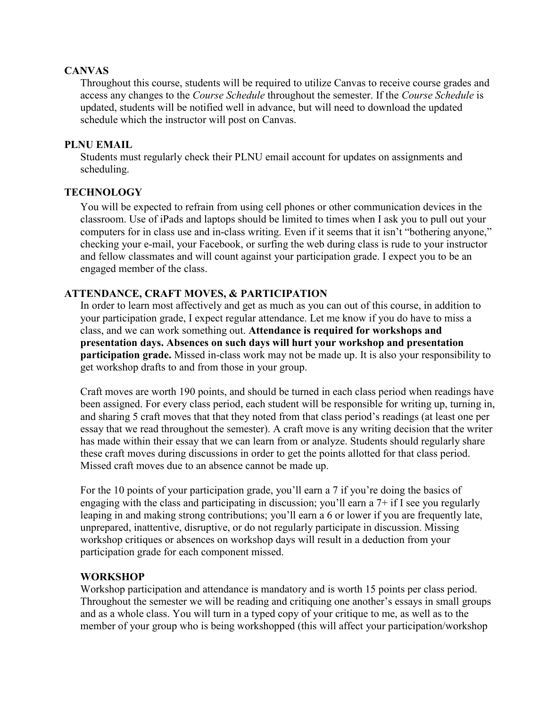# **CANVAS**

Throughout this course, students will be required to utilize Canvas to receive course grades and access any changes to the *Course Schedule* throughout the semester. If the *Course Schedule* is updated, students will be notified well in advance, but will need to download the updated schedule which the instructor will post on Canvas.

# **PLNU EMAIL**

Students must regularly check their PLNU email account for updates on assignments and scheduling.

# **TECHNOLOGY**

You will be expected to refrain from using cell phones or other communication devices in the classroom. Use of iPads and laptops should be limited to times when I ask you to pull out your computers for in class use and in-class writing. Even if it seems that it isn't "bothering anyone," checking your e-mail, your Facebook, or surfing the web during class is rude to your instructor and fellow classmates and will count against your participation grade. I expect you to be an engaged member of the class.

# **ATTENDANCE, CRAFT MOVES, & PARTICIPATION**

In order to learn most affectively and get as much as you can out of this course, in addition to your participation grade, I expect regular attendance. Let me know if you do have to miss a class, and we can work something out. **Attendance is required for workshops and presentation days. Absences on such days will hurt your workshop and presentation participation grade.** Missed in-class work may not be made up. It is also your responsibility to get workshop drafts to and from those in your group.

Craft moves are worth 190 points, and should be turned in each class period when readings have been assigned. For every class period, each student will be responsible for writing up, turning in, and sharing 5 craft moves that that they noted from that class period's readings (at least one per essay that we read throughout the semester). A craft move is any writing decision that the writer has made within their essay that we can learn from or analyze. Students should regularly share these craft moves during discussions in order to get the points allotted for that class period. Missed craft moves due to an absence cannot be made up.

For the 10 points of your participation grade, you'll earn a 7 if you're doing the basics of engaging with the class and participating in discussion; you'll earn a 7+ if I see you regularly leaping in and making strong contributions; you'll earn a 6 or lower if you are frequently late, unprepared, inattentive, disruptive, or do not regularly participate in discussion. Missing workshop critiques or absences on workshop days will result in a deduction from your participation grade for each component missed.

# **WORKSHOP**

Workshop participation and attendance is mandatory and is worth 15 points per class period. Throughout the semester we will be reading and critiquing one another's essays in small groups and as a whole class. You will turn in a typed copy of your critique to me, as well as to the member of your group who is being workshopped (this will affect your participation/workshop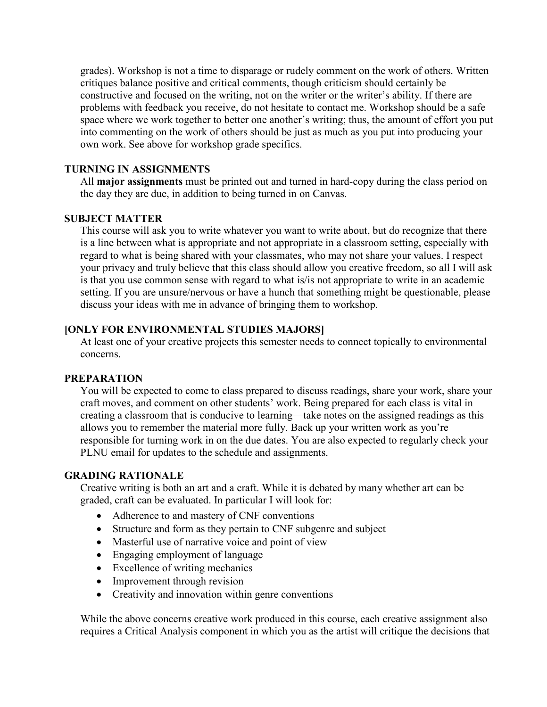grades). Workshop is not a time to disparage or rudely comment on the work of others. Written critiques balance positive and critical comments, though criticism should certainly be constructive and focused on the writing, not on the writer or the writer's ability. If there are problems with feedback you receive, do not hesitate to contact me. Workshop should be a safe space where we work together to better one another's writing; thus, the amount of effort you put into commenting on the work of others should be just as much as you put into producing your own work. See above for workshop grade specifics.

#### **TURNING IN ASSIGNMENTS**

All **major assignments** must be printed out and turned in hard-copy during the class period on the day they are due, in addition to being turned in on Canvas.

# **SUBJECT MATTER**

This course will ask you to write whatever you want to write about, but do recognize that there is a line between what is appropriate and not appropriate in a classroom setting, especially with regard to what is being shared with your classmates, who may not share your values. I respect your privacy and truly believe that this class should allow you creative freedom, so all I will ask is that you use common sense with regard to what is/is not appropriate to write in an academic setting. If you are unsure/nervous or have a hunch that something might be questionable, please discuss your ideas with me in advance of bringing them to workshop.

# **[ONLY FOR ENVIRONMENTAL STUDIES MAJORS]**

At least one of your creative projects this semester needs to connect topically to environmental concerns.

# **PREPARATION**

You will be expected to come to class prepared to discuss readings, share your work, share your craft moves, and comment on other students' work. Being prepared for each class is vital in creating a classroom that is conducive to learning—take notes on the assigned readings as this allows you to remember the material more fully. Back up your written work as you're responsible for turning work in on the due dates. You are also expected to regularly check your PLNU email for updates to the schedule and assignments.

#### **GRADING RATIONALE**

Creative writing is both an art and a craft. While it is debated by many whether art can be graded, craft can be evaluated. In particular I will look for:

- Adherence to and mastery of CNF conventions
- Structure and form as they pertain to CNF subgenre and subject
- Masterful use of narrative voice and point of view
- Engaging employment of language
- Excellence of writing mechanics
- Improvement through revision
- Creativity and innovation within genre conventions

While the above concerns creative work produced in this course, each creative assignment also requires a Critical Analysis component in which you as the artist will critique the decisions that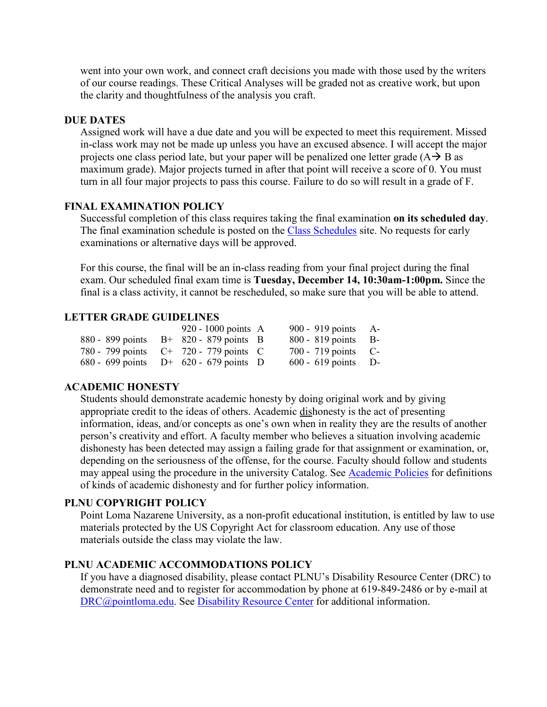went into your own work, and connect craft decisions you made with those used by the writers of our course readings. These Critical Analyses will be graded not as creative work, but upon the clarity and thoughtfulness of the analysis you craft.

#### **DUE DATES**

Assigned work will have a due date and you will be expected to meet this requirement. Missed in-class work may not be made up unless you have an excused absence. I will accept the major projects one class period late, but your paper will be penalized one letter grade  $(A \rightarrow B$  as maximum grade). Major projects turned in after that point will receive a score of 0. You must turn in all four major projects to pass this course. Failure to do so will result in a grade of F.

# **FINAL EXAMINATION POLICY**

Successful completion of this class requires taking the final examination **on its scheduled day**. The final examination schedule is posted on the [Class Schedules](http://www.pointloma.edu/experience/academics/class-schedules) site. No requests for early examinations or alternative days will be approved.

For this course, the final will be an in-class reading from your final project during the final exam. Our scheduled final exam time is **Tuesday, December 14, 10:30am-1:00pm.** Since the final is a class activity, it cannot be rescheduled, so make sure that you will be able to attend.

# **LETTER GRADE GUIDELINES**

|                                           | 920 - 1000 points $\overline{A}$ | 900 - 919 points A-   |  |
|-------------------------------------------|----------------------------------|-----------------------|--|
| 880 - 899 points $B+820-879$ points B     |                                  | $800 - 819$ points B- |  |
| 780 - 799 points $C^+$ 720 - 779 points C |                                  | $700 - 719$ points C- |  |
| 680 - 699 points $D^+$ 620 - 679 points D |                                  | $600 - 619$ points D- |  |

#### **ACADEMIC HONESTY**

Students should demonstrate academic honesty by doing original work and by giving appropriate credit to the ideas of others. Academic dishonesty is the act of presenting information, ideas, and/or concepts as one's own when in reality they are the results of another person's creativity and effort. A faculty member who believes a situation involving academic dishonesty has been detected may assign a failing grade for that assignment or examination, or, depending on the seriousness of the offense, for the course. Faculty should follow and students may appeal using the procedure in the university Catalog. See [Academic Policies](http://catalog.pointloma.edu/content.php?catoid=18&navoid=1278) for definitions of kinds of academic dishonesty and for further policy information.

# **PLNU COPYRIGHT POLICY**

Point Loma Nazarene University, as a non-profit educational institution, is entitled by law to use materials protected by the US Copyright Act for classroom education. Any use of those materials outside the class may violate the law.

## **PLNU ACADEMIC ACCOMMODATIONS POLICY**

If you have a diagnosed disability, please contact PLNU's Disability Resource Center (DRC) to demonstrate need and to register for accommodation by phone at 619-849-2486 or by e-mail at [DRC@pointloma.edu.](mailto:DRC@pointloma.edu) See [Disability Resource Center](http://www.pointloma.edu/experience/offices/administrative-offices/academic-advising-office/disability-resource-center) for additional information.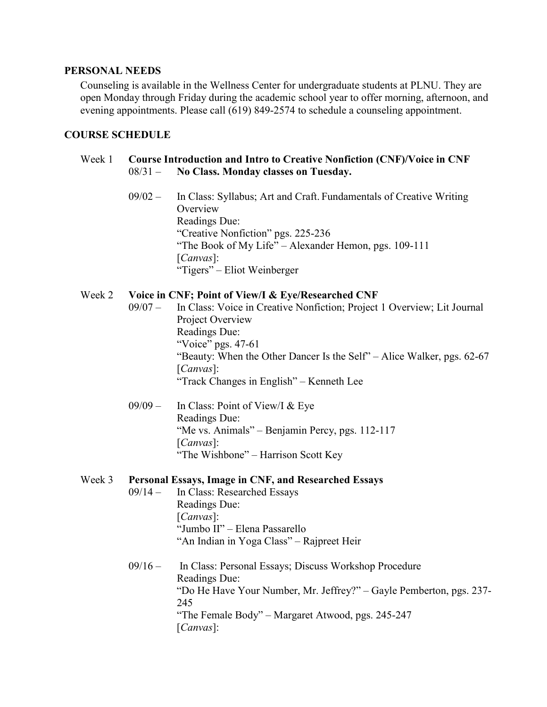#### **PERSONAL NEEDS**

Counseling is available in the Wellness Center for undergraduate students at PLNU. They are open Monday through Friday during the academic school year to offer morning, afternoon, and evening appointments. Please call (619) 849-2574 to schedule a counseling appointment.

#### **COURSE SCHEDULE**

# Week 1 **Course Introduction and Intro to Creative Nonfiction (CNF)/Voice in CNF** 08/31 – **No Class. Monday classes on Tuesday.**

09/02 – In Class: Syllabus; Art and Craft. Fundamentals of Creative Writing **Overview** Readings Due: "Creative Nonfiction" pgs. 225-236 "The Book of My Life" – Alexander Hemon, pgs. 109-111 [*Canvas*]: "Tigers" – Eliot Weinberger

#### Week 2 **Voice in CNF; Point of View/I & Eye/Researched CNF**

- 09/07 In Class: Voice in Creative Nonfiction; Project 1 Overview; Lit Journal Project Overview Readings Due: "Voice" pgs. 47-61 "Beauty: When the Other Dancer Is the Self" – Alice Walker, pgs. 62-67 [*Canvas*]: "Track Changes in English" – Kenneth Lee
- 09/09 In Class: Point of View/I & Eye Readings Due: "Me vs. Animals" – Benjamin Percy, pgs. 112-117 [*Canvas*]: "The Wishbone" – Harrison Scott Key

#### Week 3 **Personal Essays, Image in CNF, and Researched Essays**

- 09/14 In Class: Researched Essays Readings Due: [*Canvas*]: "Jumbo II" – Elena Passarello "An Indian in Yoga Class" – Rajpreet Heir
- 09/16 In Class: Personal Essays; Discuss Workshop Procedure Readings Due: "Do He Have Your Number, Mr. Jeffrey?" – Gayle Pemberton, pgs. 237- 245 "The Female Body" – Margaret Atwood, pgs. 245-247 [*Canvas*]: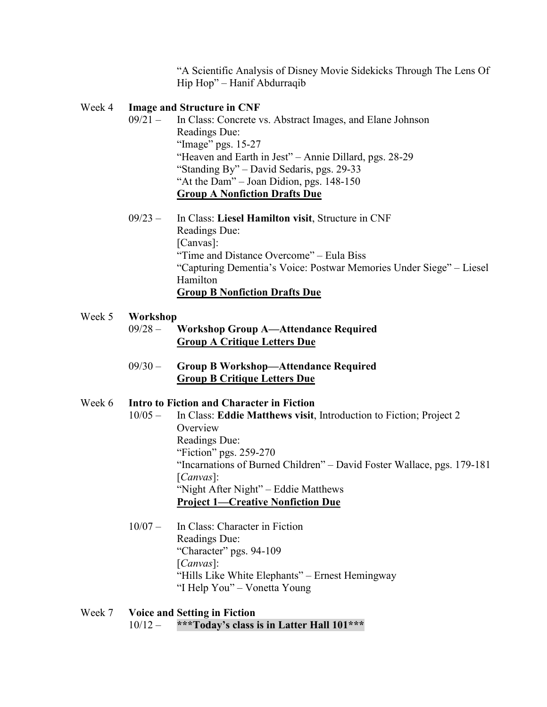"A Scientific Analysis of Disney Movie Sidekicks Through The Lens Of Hip Hop" – Hanif Abdurraqib

#### Week 4 **Image and Structure in CNF**

- 09/21 In Class: Concrete vs. Abstract Images, and Elane Johnson Readings Due: "Image" pgs. 15-27 "Heaven and Earth in Jest" – Annie Dillard, pgs. 28-29 "Standing By" – David Sedaris, pgs. 29-33 "At the Dam" – Joan Didion, pgs. 148-150 **Group A Nonfiction Drafts Due**
- 09/23 In Class: **Liesel Hamilton visit**, Structure in CNF Readings Due: [Canvas]: "Time and Distance Overcome" – Eula Biss "Capturing Dementia's Voice: Postwar Memories Under Siege" – Liesel Hamilton **Group B Nonfiction Drafts Due**

#### Week 5 **Workshop**

| 09/28 – | <b>Workshop Group A—Attendance Required</b> |
|---------|---------------------------------------------|
|         | <b>Group A Critique Letters Due</b>         |

09/30 – **Group B Workshop—Attendance Required Group B Critique Letters Due**

# Week 6 **Intro to Fiction and Character in Fiction**

- 10/05 In Class: **Eddie Matthews visit**, Introduction to Fiction; Project 2 **Overview** Readings Due: "Fiction" pgs. 259-270 "Incarnations of Burned Children" – David Foster Wallace, pgs. 179-181 [*Canvas*]: "Night After Night" – Eddie Matthews **Project 1—Creative Nonfiction Due**
- 10/07 In Class: Character in Fiction Readings Due: "Character" pgs. 94-109 [*Canvas*]: "Hills Like White Elephants" – Ernest Hemingway "I Help You" – Vonetta Young
- Week 7 **Voice and Setting in Fiction** 10/12 – **\*\*\*Today's class is in Latter Hall 101\*\*\***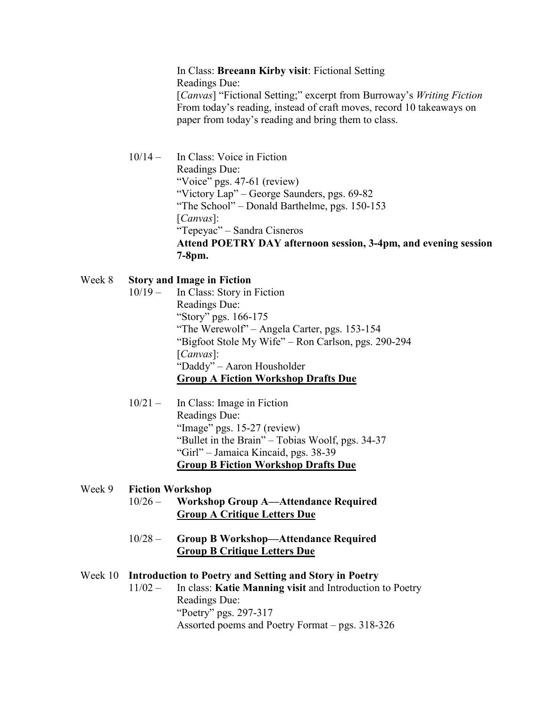In Class: **Breeann Kirby visit**: Fictional Setting Readings Due: [*Canvas*] "Fictional Setting;" excerpt from Burroway's *Writing Fiction* From today's reading, instead of craft moves, record 10 takeaways on paper from today's reading and bring them to class.

10/14 – In Class: Voice in Fiction Readings Due: "Voice" pgs. 47-61 (review) "Victory Lap" – George Saunders, pgs. 69-82 "The School" – Donald Barthelme, pgs. 150-153 [*Canvas*]: "Tepeyac" – Sandra Cisneros **Attend POETRY DAY afternoon session, 3-4pm, and evening session 7-8pm.** 

# Week 8 **Story and Image in Fiction**

- 10/19 In Class: Story in Fiction Readings Due: "Story" pgs. 166-175 "The Werewolf" – Angela Carter, pgs. 153-154 "Bigfoot Stole My Wife" – Ron Carlson, pgs. 290-294 [*Canvas*]: "Daddy" – Aaron Housholder **Group A Fiction Workshop Drafts Due**
- 10/21 In Class: Image in Fiction Readings Due: "Image" pgs. 15-27 (review) "Bullet in the Brain" – Tobias Woolf, pgs. 34-37 "Girl" – Jamaica Kincaid, pgs. 38-39 **Group B Fiction Workshop Drafts Due**

# Week 9 **Fiction Workshop**  10/26 – **Workshop Group A—Attendance Required Group A Critique Letters Due** 10/28 – **Group B Workshop—Attendance Required Group B Critique Letters Due**

# Week 10 **Introduction to Poetry and Setting and Story in Poetry**

11/02 – In class: **Katie Manning visit** and Introduction to Poetry Readings Due: "Poetry" pgs. 297-317 Assorted poems and Poetry Format – pgs. 318-326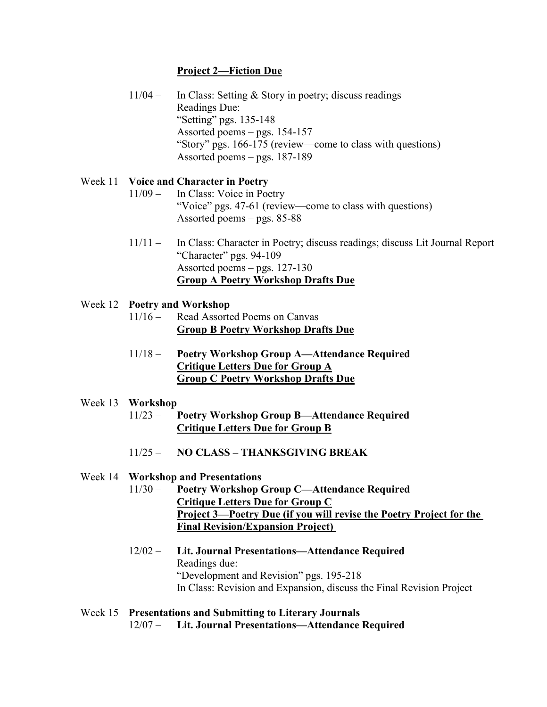# **Project 2—Fiction Due**

11/04 – In Class: Setting & Story in poetry; discuss readings Readings Due: "Setting" pgs. 135-148 Assorted poems – pgs. 154-157 "Story" pgs. 166-175 (review—come to class with questions) Assorted poems – pgs. 187-189

# Week 11 **Voice and Character in Poetry**

- 11/09 In Class: Voice in Poetry "Voice" pgs. 47-61 (review—come to class with questions) Assorted poems – pgs. 85-88
- 11/11 In Class: Character in Poetry; discuss readings; discuss Lit Journal Report "Character" pgs. 94-109 Assorted poems – pgs. 127-130 **Group A Poetry Workshop Drafts Due**

# Week 12 **Poetry and Workshop**

- 11/16 Read Assorted Poems on Canvas **Group B Poetry Workshop Drafts Due**
- 11/18 **Poetry Workshop Group A—Attendance Required Critique Letters Due for Group A Group C Poetry Workshop Drafts Due**

# Week 13 **Workshop**

- 11/23 **Poetry Workshop Group B—Attendance Required Critique Letters Due for Group B**
- 11/25 **NO CLASS – THANKSGIVING BREAK**

# Week 14 **Workshop and Presentations**

- 11/30 **Poetry Workshop Group C—Attendance Required Critique Letters Due for Group C Project 3—Poetry Due (if you will revise the Poetry Project for the Final Revision/Expansion Project)**
- 12/02 **Lit. Journal Presentations—Attendance Required** Readings due: "Development and Revision" pgs. 195-218 In Class: Revision and Expansion, discuss the Final Revision Project
- Week 15 **Presentations and Submitting to Literary Journals** 12/07 – **Lit. Journal Presentations—Attendance Required**